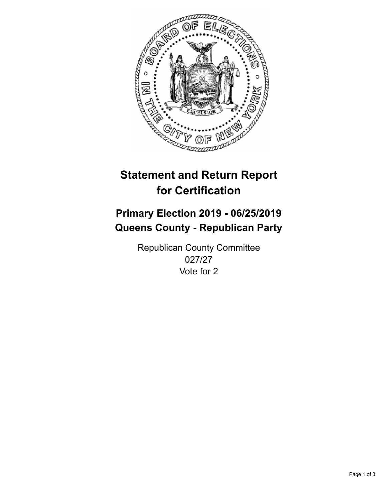

## **Statement and Return Report for Certification**

## **Primary Election 2019 - 06/25/2019 Queens County - Republican Party**

Republican County Committee 027/27 Vote for 2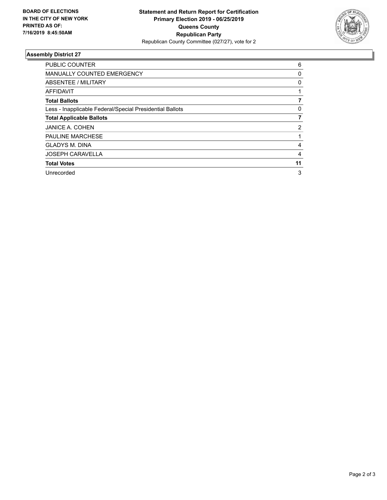

## **Assembly District 27**

| <b>PUBLIC COUNTER</b>                                    | 6  |
|----------------------------------------------------------|----|
| <b>MANUALLY COUNTED EMERGENCY</b>                        | 0  |
| ABSENTEE / MILITARY                                      | 0  |
| AFFIDAVIT                                                |    |
| <b>Total Ballots</b>                                     |    |
| Less - Inapplicable Federal/Special Presidential Ballots | 0  |
| <b>Total Applicable Ballots</b>                          | 7  |
| <b>JANICE A. COHEN</b>                                   | 2  |
| <b>PAULINE MARCHESE</b>                                  |    |
| <b>GLADYS M. DINA</b>                                    | 4  |
| <b>JOSEPH CARAVELLA</b>                                  | 4  |
| <b>Total Votes</b>                                       | 11 |
| Unrecorded                                               | 3  |